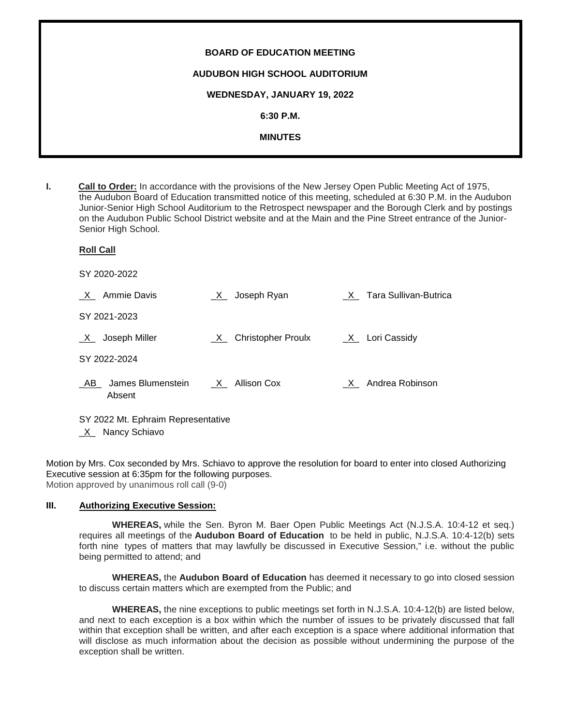| <b>BOARD OF EDUCATION MEETING</b>     |
|---------------------------------------|
| <b>AUDUBON HIGH SCHOOL AUDITORIUM</b> |
| WEDNESDAY, JANUARY 19, 2022           |
| $6:30$ P.M.                           |
| <b>MINUTES</b>                        |
|                                       |

**I. Call to Order:** In accordance with the provisions of the New Jersey Open Public Meeting Act of 1975, the Audubon Board of Education transmitted notice of this meeting, scheduled at 6:30 P.M. in the Audubon Junior-Senior High School Auditorium to the Retrospect newspaper and the Borough Clerk and by postings on the Audubon Public School District website and at the Main and the Pine Street entrance of the Junior-Senior High School.

# **Roll Call** SY 2020-2022 \_X\_ Ammie Davis \_X\_ Joseph Ryan \_X\_ Tara Sullivan-Butrica SY 2021-2023 X Joseph Miller  $X$  Christopher Proulx  $X$  Lori Cassidy SY 2022-2024 AB James Blumenstein X Allison Cox X Andrea Robinson Absent

SY 2022 Mt. Ephraim Representative

\_X\_ Nancy Schiavo

Motion by Mrs. Cox seconded by Mrs. Schiavo to approve the resolution for board to enter into closed Authorizing Executive session at 6:35pm for the following purposes. Motion approved by unanimous roll call (9-0)

# **III. Authorizing Executive Session:**

**WHEREAS,** while the Sen. Byron M. Baer Open Public Meetings Act (N.J.S.A. 10:4-12 et seq.) requires all meetings of the **Audubon Board of Education** to be held in public, N.J.S.A. 10:4-12(b) sets forth nine types of matters that may lawfully be discussed in Executive Session," i.e. without the public being permitted to attend; and

**WHEREAS,** the **Audubon Board of Education** has deemed it necessary to go into closed session to discuss certain matters which are exempted from the Public; and

**WHEREAS,** the nine exceptions to public meetings set forth in N.J.S.A. 10:4-12(b) are listed below, and next to each exception is a box within which the number of issues to be privately discussed that fall within that exception shall be written, and after each exception is a space where additional information that will disclose as much information about the decision as possible without undermining the purpose of the exception shall be written.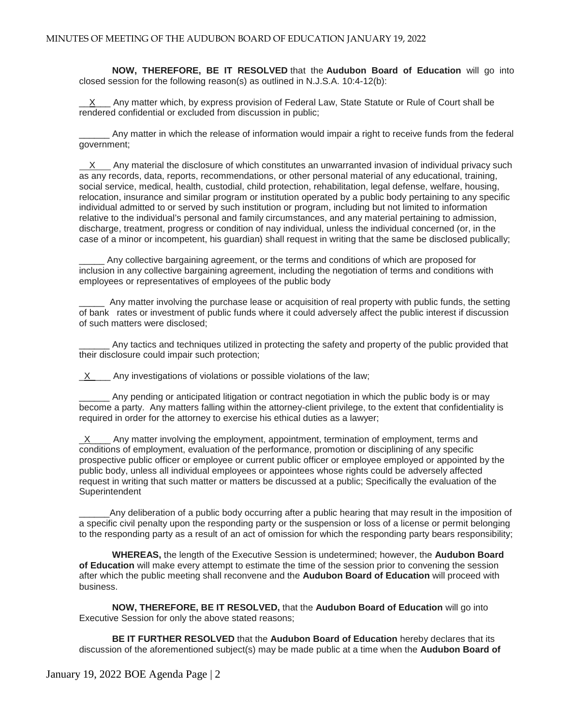**NOW, THEREFORE, BE IT RESOLVED** that the **Audubon Board of Education** will go into closed session for the following reason(s) as outlined in N.J.S.A. 10:4-12(b):

 $X$  Any matter which, by express provision of Federal Law, State Statute or Rule of Court shall be rendered confidential or excluded from discussion in public;

\_\_\_\_\_\_ Any matter in which the release of information would impair a right to receive funds from the federal government;

X Any material the disclosure of which constitutes an unwarranted invasion of individual privacy such as any records, data, reports, recommendations, or other personal material of any educational, training, social service, medical, health, custodial, child protection, rehabilitation, legal defense, welfare, housing, relocation, insurance and similar program or institution operated by a public body pertaining to any specific individual admitted to or served by such institution or program, including but not limited to information relative to the individual's personal and family circumstances, and any material pertaining to admission, discharge, treatment, progress or condition of nay individual, unless the individual concerned (or, in the case of a minor or incompetent, his guardian) shall request in writing that the same be disclosed publically;

Any collective bargaining agreement, or the terms and conditions of which are proposed for inclusion in any collective bargaining agreement, including the negotiation of terms and conditions with employees or representatives of employees of the public body

Any matter involving the purchase lease or acquisition of real property with public funds, the setting of bank rates or investment of public funds where it could adversely affect the public interest if discussion of such matters were disclosed;

Any tactics and techniques utilized in protecting the safety and property of the public provided that their disclosure could impair such protection;

 $X$  Any investigations of violations or possible violations of the law;

\_\_\_\_\_\_ Any pending or anticipated litigation or contract negotiation in which the public body is or may become a party. Any matters falling within the attorney-client privilege, to the extent that confidentiality is required in order for the attorney to exercise his ethical duties as a lawyer;

 $\underline{X}$  Any matter involving the employment, appointment, termination of employment, terms and conditions of employment, evaluation of the performance, promotion or disciplining of any specific prospective public officer or employee or current public officer or employee employed or appointed by the public body, unless all individual employees or appointees whose rights could be adversely affected request in writing that such matter or matters be discussed at a public; Specifically the evaluation of the **Superintendent** 

\_\_\_\_\_\_Any deliberation of a public body occurring after a public hearing that may result in the imposition of a specific civil penalty upon the responding party or the suspension or loss of a license or permit belonging to the responding party as a result of an act of omission for which the responding party bears responsibility;

**WHEREAS,** the length of the Executive Session is undetermined; however, the **Audubon Board of Education** will make every attempt to estimate the time of the session prior to convening the session after which the public meeting shall reconvene and the **Audubon Board of Education** will proceed with business.

**NOW, THEREFORE, BE IT RESOLVED,** that the **Audubon Board of Education** will go into Executive Session for only the above stated reasons;

**BE IT FURTHER RESOLVED** that the **Audubon Board of Education** hereby declares that its discussion of the aforementioned subject(s) may be made public at a time when the **Audubon Board of**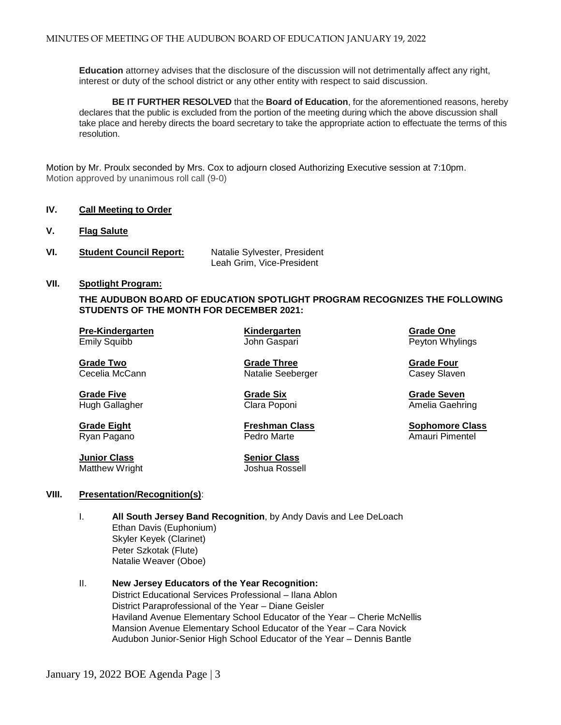**Education** attorney advises that the disclosure of the discussion will not detrimentally affect any right, interest or duty of the school district or any other entity with respect to said discussion.

**BE IT FURTHER RESOLVED** that the **Board of Education**, for the aforementioned reasons, hereby declares that the public is excluded from the portion of the meeting during which the above discussion shall take place and hereby directs the board secretary to take the appropriate action to effectuate the terms of this resolution.

Motion by Mr. Proulx seconded by Mrs. Cox to adjourn closed Authorizing Executive session at 7:10pm. Motion approved by unanimous roll call (9-0)

#### **IV. Call Meeting to Order**

- **V. Flag Salute**
- **VI. Student Council Report:** Natalie Sylvester, President Leah Grim, Vice-President

# **VII. Spotlight Program:**

**THE AUDUBON BOARD OF EDUCATION SPOTLIGHT PROGRAM RECOGNIZES THE FOLLOWING STUDENTS OF THE MONTH FOR DECEMBER 2021:**

**Pre-Kindergarten Kindergarten Grade One**

**Grade Five Grade Six Grade Seven**

**Junior Class Senior Class**  Matthew Wright

**Grade Two Grade Three Crack Constructs Crack Constructs Crack Crack Crack Crack Crack Crack Crack Crack Crack Crack Crack Crack Crack Crack Crack Crack Crack Crack Crack Crack Crack Crack Crack Crack Crack Crack Crack Cra** Natalie Seeberger Casey Slaven

**Grade Eight Freshman Class Sophomore Class** Ryan Pagano **Pedro Marte** Amauri Pimentel **Pedro Marte** Amauri Pimentel

Peyton Whylings

Hugh Gallagher **Clara Poponi** Clara Poponi Amelia Gaehring

#### **VIII. Presentation/Recognition(s)**:

- I. **All South Jersey Band Recognition**, by Andy Davis and Lee DeLoach Ethan Davis (Euphonium) Skyler Keyek (Clarinet) Peter Szkotak (Flute) Natalie Weaver (Oboe)
- II. **New Jersey Educators of the Year Recognition:** District Educational Services Professional – Ilana Ablon District Paraprofessional of the Year – Diane Geisler Haviland Avenue Elementary School Educator of the Year – Cherie McNellis Mansion Avenue Elementary School Educator of the Year – Cara Novick Audubon Junior-Senior High School Educator of the Year – Dennis Bantle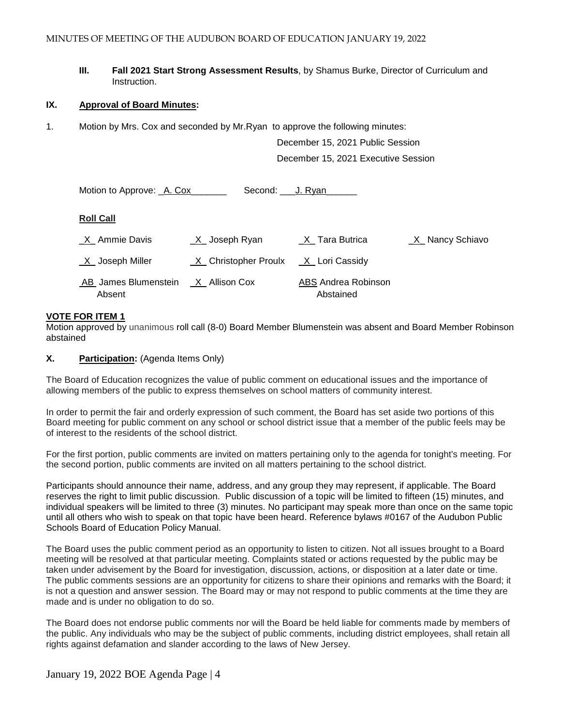**III. Fall 2021 Start Strong Assessment Results**, by Shamus Burke, Director of Curriculum and Instruction.

#### **IX. Approval of Board Minutes:**

1. Motion by Mrs. Cox and seconded by Mr.Ryan to approve the following minutes:

December 15, 2021 Public Session December 15, 2021 Executive Session

| Motion to Approve: A. Cox      | Second: J. Ryan      |                                  |                 |
|--------------------------------|----------------------|----------------------------------|-----------------|
| <b>Roll Call</b>               |                      |                                  |                 |
| X Ammie Davis                  | $X$ Joseph Ryan      | X Tara Butrica                   | X Nancy Schiavo |
| $X$ Joseph Miller              | X Christopher Proulx | _X_ Lori Cassidy                 |                 |
| AB James Blumenstein<br>Absent | X Allison Cox        | ABS Andrea Robinson<br>Abstained |                 |

#### **VOTE FOR ITEM 1**

Motion approved by unanimous roll call (8-0) Board Member Blumenstein was absent and Board Member Robinson abstained

**X. Participation:** (Agenda Items Only)

The Board of Education recognizes the value of public comment on educational issues and the importance of allowing members of the public to express themselves on school matters of community interest.

In order to permit the fair and orderly expression of such comment, the Board has set aside two portions of this Board meeting for public comment on any school or school district issue that a member of the public feels may be of interest to the residents of the school district.

For the first portion, public comments are invited on matters pertaining only to the agenda for tonight's meeting. For the second portion, public comments are invited on all matters pertaining to the school district.

Participants should announce their name, address, and any group they may represent, if applicable. The Board reserves the right to limit public discussion. Public discussion of a topic will be limited to fifteen (15) minutes, and individual speakers will be limited to three (3) minutes. No participant may speak more than once on the same topic until all others who wish to speak on that topic have been heard. Reference bylaws #0167 of the Audubon Public Schools Board of Education Policy Manual.

The Board uses the public comment period as an opportunity to listen to citizen. Not all issues brought to a Board meeting will be resolved at that particular meeting. Complaints stated or actions requested by the public may be taken under advisement by the Board for investigation, discussion, actions, or disposition at a later date or time. The public comments sessions are an opportunity for citizens to share their opinions and remarks with the Board; it is not a question and answer session. The Board may or may not respond to public comments at the time they are made and is under no obligation to do so.

The Board does not endorse public comments nor will the Board be held liable for comments made by members of the public. Any individuals who may be the subject of public comments, including district employees, shall retain all rights against defamation and slander according to the laws of New Jersey.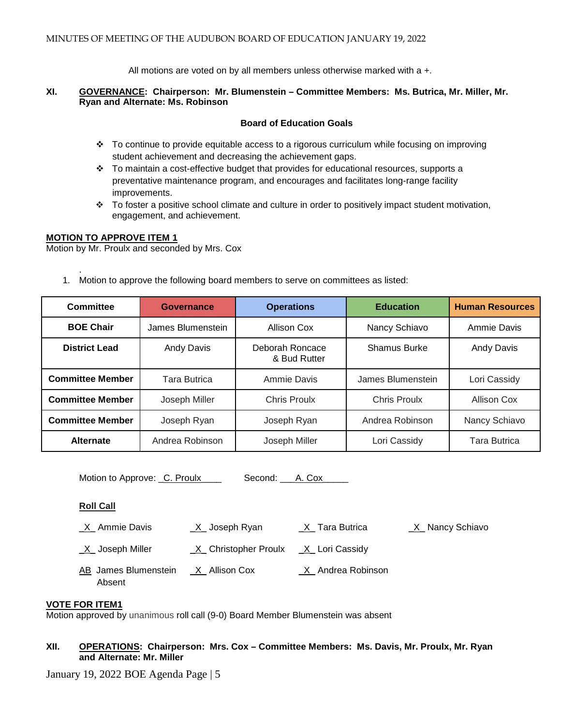All motions are voted on by all members unless otherwise marked with a +.

#### **XI. GOVERNANCE: Chairperson: Mr. Blumenstein – Committee Members: Ms. Butrica, Mr. Miller, Mr. Ryan and Alternate: Ms. Robinson**

## **Board of Education Goals**

- To continue to provide equitable access to a rigorous curriculum while focusing on improving student achievement and decreasing the achievement gaps.
- $\cdot \cdot$  To maintain a cost-effective budget that provides for educational resources, supports a preventative maintenance program, and encourages and facilitates long-range facility improvements.
- $\cdot \cdot$  To foster a positive school climate and culture in order to positively impact student motivation, engagement, and achievement.

## **MOTION TO APPROVE ITEM 1**

Motion by Mr. Proulx and seconded by Mrs. Cox

. 1. Motion to approve the following board members to serve on committees as listed:

| Committee               | Governance          | <b>Operations</b>               | <b>Education</b>    | <b>Human Resources</b> |
|-------------------------|---------------------|---------------------------------|---------------------|------------------------|
| <b>BOE Chair</b>        | James Blumenstein   | Allison Cox                     | Nancy Schiavo       | Ammie Davis            |
| <b>District Lead</b>    | <b>Andy Davis</b>   | Deborah Roncace<br>& Bud Rutter | <b>Shamus Burke</b> | <b>Andy Davis</b>      |
| <b>Committee Member</b> | <b>Tara Butrica</b> | Ammie Davis                     | James Blumenstein   | Lori Cassidy           |
| <b>Committee Member</b> | Joseph Miller       | <b>Chris Proulx</b>             | <b>Chris Proulx</b> | Allison Cox            |
| <b>Committee Member</b> | Joseph Ryan         | Joseph Ryan                     | Andrea Robinson     | Nancy Schiavo          |
| <b>Alternate</b>        | Andrea Robinson     | Joseph Miller                   | Lori Cassidy        | <b>Tara Butrica</b>    |

Motion to Approve: C. Proulx Second: A. Cox

#### **Roll Call**

Absent

\_X\_ Ammie Davis \_X\_ Joseph Ryan \_X\_ Tara Butrica \_X\_ Nancy Schiavo

\_X\_ Joseph Miller \_X\_ Christopher Proulx \_X\_ Lori Cassidy AB James Blumenstein X Allison Cox X Andrea Robinson

# **VOTE FOR ITEM1**

Motion approved by unanimous roll call (9-0) Board Member Blumenstein was absent

# **XII. OPERATIONS: Chairperson: Mrs. Cox – Committee Members: Ms. Davis, Mr. Proulx, Mr. Ryan and Alternate: Mr. Miller**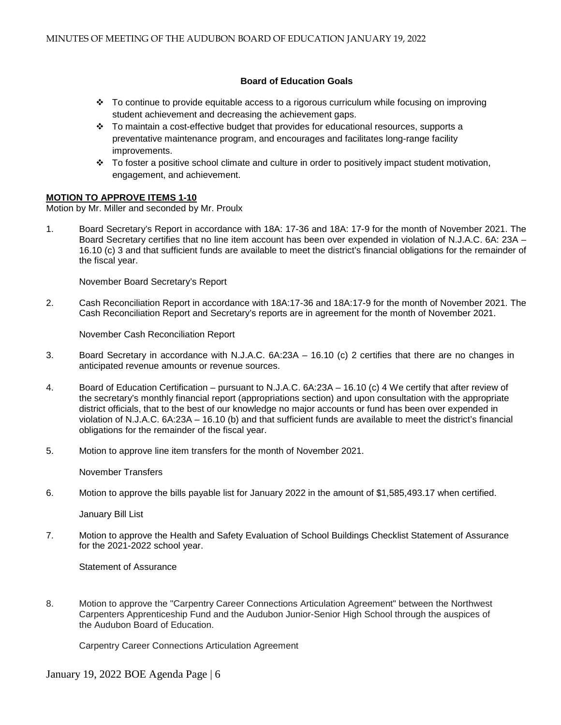## **Board of Education Goals**

- $\div$  To continue to provide equitable access to a rigorous curriculum while focusing on improving student achievement and decreasing the achievement gaps.
- $\div$  To maintain a cost-effective budget that provides for educational resources, supports a preventative maintenance program, and encourages and facilitates long-range facility improvements.
- $\cdot \cdot$  To foster a positive school climate and culture in order to positively impact student motivation, engagement, and achievement.

#### **MOTION TO APPROVE ITEMS 1-10**

Motion by Mr. Miller and seconded by Mr. Proulx

1. Board Secretary's Report in accordance with 18A: 17-36 and 18A: 17-9 for the month of November 2021. The Board Secretary certifies that no line item account has been over expended in violation of N.J.A.C. 6A: 23A – 16.10 (c) 3 and that sufficient funds are available to meet the district's financial obligations for the remainder of the fiscal year.

November Board Secretary's Report

2. Cash Reconciliation Report in accordance with 18A:17-36 and 18A:17-9 for the month of November 2021. The Cash Reconciliation Report and Secretary's reports are in agreement for the month of November 2021.

November Cash Reconciliation Report

- 3.Board Secretary in accordance with N.J.A.C. 6A:23A 16.10 (c) 2 certifies that there are no changes in anticipated revenue amounts or revenue sources.
- 4. Board of Education Certification pursuant to N.J.A.C. 6A:23A 16.10 (c) 4 We certify that after review of the secretary's monthly financial report (appropriations section) and upon consultation with the appropriate district officials, that to the best of our knowledge no major accounts or fund has been over expended in violation of N.J.A.C. 6A:23A – 16.10 (b) and that sufficient funds are available to meet the district's financial obligations for the remainder of the fiscal year.
- 5. Motion to approve line item transfers for the month of November 2021.

November Transfers

6. Motion to approve the bills payable list for January 2022 in the amount of \$1,585,493.17 when certified.

January Bill List

7. Motion to approve the Health and Safety Evaluation of School Buildings Checklist Statement of Assurance for the 2021-2022 school year.

Statement of Assurance

8. Motion to approve the "Carpentry Career Connections Articulation Agreement" between the Northwest Carpenters Apprenticeship Fund and the Audubon Junior-Senior High School through the auspices of the Audubon Board of Education.

Carpentry Career Connections Articulation Agreement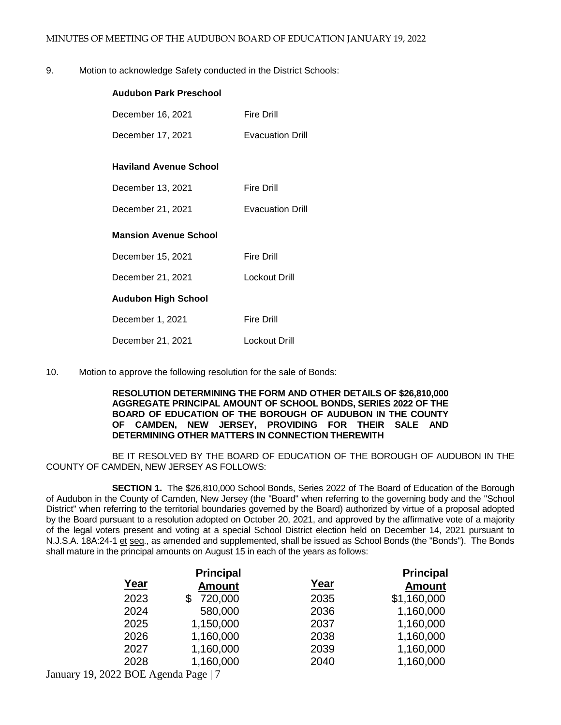9. Motion to acknowledge Safety conducted in the District Schools:

| <b>Audubon Park Preschool</b> |                         |
|-------------------------------|-------------------------|
| December 16, 2021             | <b>Fire Drill</b>       |
| December 17, 2021             | <b>Evacuation Drill</b> |
| <b>Haviland Avenue School</b> |                         |
| December 13, 2021             | <b>Fire Drill</b>       |
| December 21, 2021             | <b>Evacuation Drill</b> |
| <b>Mansion Avenue School</b>  |                         |
| December 15, 2021             | <b>Fire Drill</b>       |
| December 21, 2021             | <b>Lockout Drill</b>    |
| <b>Audubon High School</b>    |                         |
| December 1, 2021              | <b>Fire Drill</b>       |
| December 21, 2021             | <b>Lockout Drill</b>    |

10. Motion to approve the following resolution for the sale of Bonds:

#### **RESOLUTION DETERMINING THE FORM AND OTHER DETAILS OF \$26,810,000 AGGREGATE PRINCIPAL AMOUNT OF SCHOOL BONDS, SERIES 2022 OF THE BOARD OF EDUCATION OF THE BOROUGH OF AUDUBON IN THE COUNTY OF CAMDEN, NEW JERSEY, PROVIDING FOR THEIR SALE AND DETERMINING OTHER MATTERS IN CONNECTION THEREWITH**

BE IT RESOLVED BY THE BOARD OF EDUCATION OF THE BOROUGH OF AUDUBON IN THE COUNTY OF CAMDEN, NEW JERSEY AS FOLLOWS:

**SECTION 1.** The \$26,810,000 School Bonds, Series 2022 of The Board of Education of the Borough of Audubon in the County of Camden, New Jersey (the "Board" when referring to the governing body and the "School District" when referring to the territorial boundaries governed by the Board) authorized by virtue of a proposal adopted by the Board pursuant to a resolution adopted on October 20, 2021, and approved by the affirmative vote of a majority of the legal voters present and voting at a special School District election held on December 14, 2021 pursuant to N.J.S.A. 18A:24-1 et seq., as amended and supplemented, shall be issued as School Bonds (the "Bonds"). The Bonds shall mature in the principal amounts on August 15 in each of the years as follows:

| <b>Principal</b> |               | <b>Principal</b> |               |
|------------------|---------------|------------------|---------------|
| <u>Year</u>      | <b>Amount</b> | Year             | <b>Amount</b> |
| 2023             | 720,000       | 2035             | \$1,160,000   |
| 2024             | 580,000       | 2036             | 1,160,000     |
| 2025             | 1,150,000     | 2037             | 1,160,000     |
| 2026             | 1,160,000     | 2038             | 1,160,000     |
| 2027             | 1,160,000     | 2039             | 1,160,000     |
| 2028             | 1,160,000     | 2040             | 1,160,000     |
|                  |               |                  |               |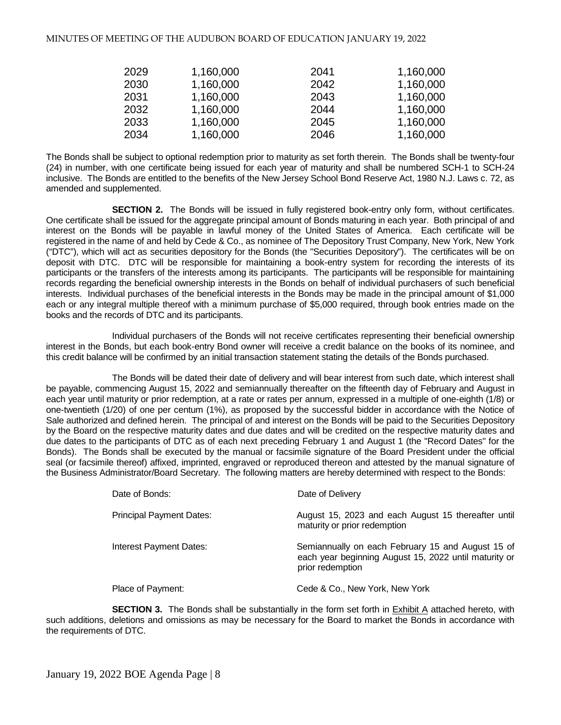| 2029 | 1,160,000 | 2041 | 1,160,000 |
|------|-----------|------|-----------|
| 2030 | 1,160,000 | 2042 | 1,160,000 |
| 2031 | 1,160,000 | 2043 | 1,160,000 |
| 2032 | 1,160,000 | 2044 | 1,160,000 |
| 2033 | 1,160,000 | 2045 | 1,160,000 |
| 2034 | 1,160,000 | 2046 | 1,160,000 |

The Bonds shall be subject to optional redemption prior to maturity as set forth therein. The Bonds shall be twenty-four (24) in number, with one certificate being issued for each year of maturity and shall be numbered SCH-1 to SCH-24 inclusive. The Bonds are entitled to the benefits of the New Jersey School Bond Reserve Act, 1980 N.J. Laws c. 72, as amended and supplemented.

**SECTION 2.** The Bonds will be issued in fully registered book-entry only form, without certificates. One certificate shall be issued for the aggregate principal amount of Bonds maturing in each year. Both principal of and interest on the Bonds will be payable in lawful money of the United States of America. Each certificate will be registered in the name of and held by Cede & Co., as nominee of The Depository Trust Company, New York, New York ("DTC"), which will act as securities depository for the Bonds (the "Securities Depository"). The certificates will be on deposit with DTC. DTC will be responsible for maintaining a book-entry system for recording the interests of its participants or the transfers of the interests among its participants. The participants will be responsible for maintaining records regarding the beneficial ownership interests in the Bonds on behalf of individual purchasers of such beneficial interests. Individual purchases of the beneficial interests in the Bonds may be made in the principal amount of \$1,000 each or any integral multiple thereof with a minimum purchase of \$5,000 required, through book entries made on the books and the records of DTC and its participants.

Individual purchasers of the Bonds will not receive certificates representing their beneficial ownership interest in the Bonds, but each book-entry Bond owner will receive a credit balance on the books of its nominee, and this credit balance will be confirmed by an initial transaction statement stating the details of the Bonds purchased.

The Bonds will be dated their date of delivery and will bear interest from such date, which interest shall be payable, commencing August 15, 2022 and semiannually thereafter on the fifteenth day of February and August in each year until maturity or prior redemption, at a rate or rates per annum, expressed in a multiple of one-eighth (1/8) or one-twentieth (1/20) of one per centum (1%), as proposed by the successful bidder in accordance with the Notice of Sale authorized and defined herein. The principal of and interest on the Bonds will be paid to the Securities Depository by the Board on the respective maturity dates and due dates and will be credited on the respective maturity dates and due dates to the participants of DTC as of each next preceding February 1 and August 1 (the "Record Dates" for the Bonds). The Bonds shall be executed by the manual or facsimile signature of the Board President under the official seal (or facsimile thereof) affixed, imprinted, engraved or reproduced thereon and attested by the manual signature of the Business Administrator/Board Secretary. The following matters are hereby determined with respect to the Bonds:

| Date of Bonds:                  | Date of Delivery                                                                                                               |
|---------------------------------|--------------------------------------------------------------------------------------------------------------------------------|
| <b>Principal Payment Dates:</b> | August 15, 2023 and each August 15 thereafter until<br>maturity or prior redemption                                            |
| Interest Payment Dates:         | Semiannually on each February 15 and August 15 of<br>each year beginning August 15, 2022 until maturity or<br>prior redemption |
| Place of Payment:               | Cede & Co., New York, New York                                                                                                 |

**SECTION 3.** The Bonds shall be substantially in the form set forth in **Exhibit A** attached hereto, with such additions, deletions and omissions as may be necessary for the Board to market the Bonds in accordance with the requirements of DTC.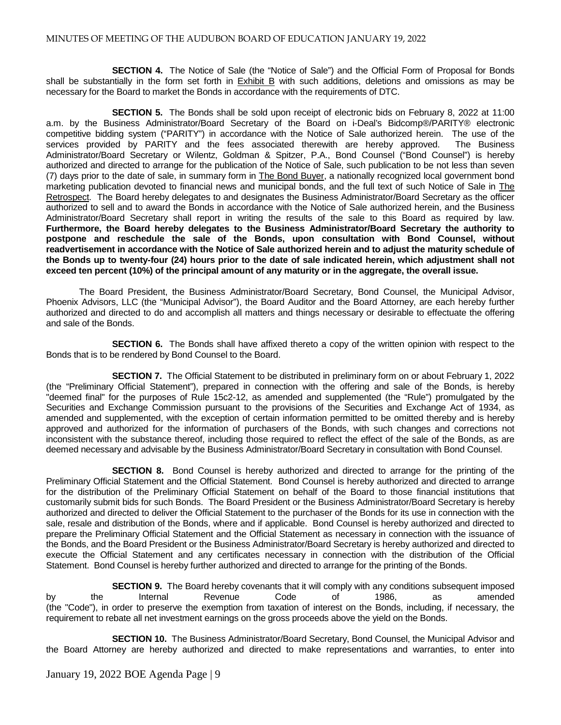**SECTION 4.** The Notice of Sale (the "Notice of Sale") and the Official Form of Proposal for Bonds shall be substantially in the form set forth in Exhibit B with such additions, deletions and omissions as may be necessary for the Board to market the Bonds in accordance with the requirements of DTC.

**SECTION 5.** The Bonds shall be sold upon receipt of electronic bids on February 8, 2022 at 11:00 a.m. by the Business Administrator/Board Secretary of the Board on i-Deal's Bidcomp®/PARITY® electronic competitive bidding system ("PARITY") in accordance with the Notice of Sale authorized herein. The use of the services provided by PARITY and the fees associated therewith are hereby approved. The Business Administrator/Board Secretary or Wilentz, Goldman & Spitzer, P.A., Bond Counsel ("Bond Counsel") is hereby authorized and directed to arrange for the publication of the Notice of Sale, such publication to be not less than seven (7) days prior to the date of sale, in summary form in The Bond Buyer, a nationally recognized local government bond marketing publication devoted to financial news and municipal bonds, and the full text of such Notice of Sale in The Retrospect. The Board hereby delegates to and designates the Business Administrator/Board Secretary as the officer authorized to sell and to award the Bonds in accordance with the Notice of Sale authorized herein, and the Business Administrator/Board Secretary shall report in writing the results of the sale to this Board as required by law. **Furthermore, the Board hereby delegates to the Business Administrator/Board Secretary the authority to postpone and reschedule the sale of the Bonds, upon consultation with Bond Counsel, without readvertisement in accordance with the Notice of Sale authorized herein and to adjust the maturity schedule of the Bonds up to twenty-four (24) hours prior to the date of sale indicated herein, which adjustment shall not exceed ten percent (10%) of the principal amount of any maturity or in the aggregate, the overall issue.**

The Board President, the Business Administrator/Board Secretary, Bond Counsel, the Municipal Advisor, Phoenix Advisors, LLC (the "Municipal Advisor"), the Board Auditor and the Board Attorney, are each hereby further authorized and directed to do and accomplish all matters and things necessary or desirable to effectuate the offering and sale of the Bonds.

**SECTION 6.** The Bonds shall have affixed thereto a copy of the written opinion with respect to the Bonds that is to be rendered by Bond Counsel to the Board.

**SECTION 7.** The Official Statement to be distributed in preliminary form on or about February 1, 2022 (the "Preliminary Official Statement"), prepared in connection with the offering and sale of the Bonds, is hereby "deemed final" for the purposes of Rule 15c2-12, as amended and supplemented (the "Rule") promulgated by the Securities and Exchange Commission pursuant to the provisions of the Securities and Exchange Act of 1934, as amended and supplemented, with the exception of certain information permitted to be omitted thereby and is hereby approved and authorized for the information of purchasers of the Bonds, with such changes and corrections not inconsistent with the substance thereof, including those required to reflect the effect of the sale of the Bonds, as are deemed necessary and advisable by the Business Administrator/Board Secretary in consultation with Bond Counsel.

**SECTION 8.** Bond Counsel is hereby authorized and directed to arrange for the printing of the Preliminary Official Statement and the Official Statement. Bond Counsel is hereby authorized and directed to arrange for the distribution of the Preliminary Official Statement on behalf of the Board to those financial institutions that customarily submit bids for such Bonds. The Board President or the Business Administrator/Board Secretary is hereby authorized and directed to deliver the Official Statement to the purchaser of the Bonds for its use in connection with the sale, resale and distribution of the Bonds, where and if applicable. Bond Counsel is hereby authorized and directed to prepare the Preliminary Official Statement and the Official Statement as necessary in connection with the issuance of the Bonds, and the Board President or the Business Administrator/Board Secretary is hereby authorized and directed to execute the Official Statement and any certificates necessary in connection with the distribution of the Official Statement. Bond Counsel is hereby further authorized and directed to arrange for the printing of the Bonds.

**SECTION 9.** The Board hereby covenants that it will comply with any conditions subsequent imposed by the Internal Revenue Code of 1986, as amended (the "Code"), in order to preserve the exemption from taxation of interest on the Bonds, including, if necessary, the requirement to rebate all net investment earnings on the gross proceeds above the yield on the Bonds.

**SECTION 10.** The Business Administrator/Board Secretary, Bond Counsel, the Municipal Advisor and the Board Attorney are hereby authorized and directed to make representations and warranties, to enter into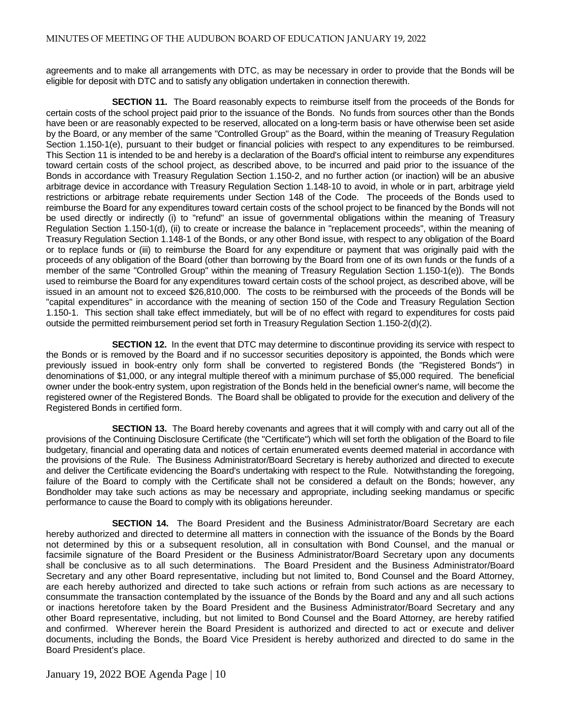agreements and to make all arrangements with DTC, as may be necessary in order to provide that the Bonds will be eligible for deposit with DTC and to satisfy any obligation undertaken in connection therewith.

**SECTION 11.** The Board reasonably expects to reimburse itself from the proceeds of the Bonds for certain costs of the school project paid prior to the issuance of the Bonds. No funds from sources other than the Bonds have been or are reasonably expected to be reserved, allocated on a long-term basis or have otherwise been set aside by the Board, or any member of the same "Controlled Group" as the Board, within the meaning of Treasury Regulation Section 1.150-1(e), pursuant to their budget or financial policies with respect to any expenditures to be reimbursed. This Section 11 is intended to be and hereby is a declaration of the Board's official intent to reimburse any expenditures toward certain costs of the school project, as described above, to be incurred and paid prior to the issuance of the Bonds in accordance with Treasury Regulation Section 1.150-2, and no further action (or inaction) will be an abusive arbitrage device in accordance with Treasury Regulation Section 1.148-10 to avoid, in whole or in part, arbitrage yield restrictions or arbitrage rebate requirements under Section 148 of the Code. The proceeds of the Bonds used to reimburse the Board for any expenditures toward certain costs of the school project to be financed by the Bonds will not be used directly or indirectly (i) to "refund" an issue of governmental obligations within the meaning of Treasury Regulation Section 1.150-1(d), (ii) to create or increase the balance in "replacement proceeds", within the meaning of Treasury Regulation Section 1.148-1 of the Bonds, or any other Bond issue, with respect to any obligation of the Board or to replace funds or (iii) to reimburse the Board for any expenditure or payment that was originally paid with the proceeds of any obligation of the Board (other than borrowing by the Board from one of its own funds or the funds of a member of the same "Controlled Group" within the meaning of Treasury Regulation Section 1.150-1(e)). The Bonds used to reimburse the Board for any expenditures toward certain costs of the school project, as described above, will be issued in an amount not to exceed \$26,810,000. The costs to be reimbursed with the proceeds of the Bonds will be "capital expenditures" in accordance with the meaning of section 150 of the Code and Treasury Regulation Section 1.150-1. This section shall take effect immediately, but will be of no effect with regard to expenditures for costs paid outside the permitted reimbursement period set forth in Treasury Regulation Section 1.150-2(d)(2).

**SECTION 12.** In the event that DTC may determine to discontinue providing its service with respect to the Bonds or is removed by the Board and if no successor securities depository is appointed, the Bonds which were previously issued in book-entry only form shall be converted to registered Bonds (the "Registered Bonds") in denominations of \$1,000, or any integral multiple thereof with a minimum purchase of \$5,000 required. The beneficial owner under the book-entry system, upon registration of the Bonds held in the beneficial owner's name, will become the registered owner of the Registered Bonds. The Board shall be obligated to provide for the execution and delivery of the Registered Bonds in certified form.

**SECTION 13.** The Board hereby covenants and agrees that it will comply with and carry out all of the provisions of the Continuing Disclosure Certificate (the "Certificate") which will set forth the obligation of the Board to file budgetary, financial and operating data and notices of certain enumerated events deemed material in accordance with the provisions of the Rule. The Business Administrator/Board Secretary is hereby authorized and directed to execute and deliver the Certificate evidencing the Board's undertaking with respect to the Rule. Notwithstanding the foregoing, failure of the Board to comply with the Certificate shall not be considered a default on the Bonds; however, any Bondholder may take such actions as may be necessary and appropriate, including seeking mandamus or specific performance to cause the Board to comply with its obligations hereunder.

**SECTION 14.** The Board President and the Business Administrator/Board Secretary are each hereby authorized and directed to determine all matters in connection with the issuance of the Bonds by the Board not determined by this or a subsequent resolution, all in consultation with Bond Counsel, and the manual or facsimile signature of the Board President or the Business Administrator/Board Secretary upon any documents shall be conclusive as to all such determinations. The Board President and the Business Administrator/Board Secretary and any other Board representative, including but not limited to, Bond Counsel and the Board Attorney, are each hereby authorized and directed to take such actions or refrain from such actions as are necessary to consummate the transaction contemplated by the issuance of the Bonds by the Board and any and all such actions or inactions heretofore taken by the Board President and the Business Administrator/Board Secretary and any other Board representative, including, but not limited to Bond Counsel and the Board Attorney, are hereby ratified and confirmed. Wherever herein the Board President is authorized and directed to act or execute and deliver documents, including the Bonds, the Board Vice President is hereby authorized and directed to do same in the Board President's place.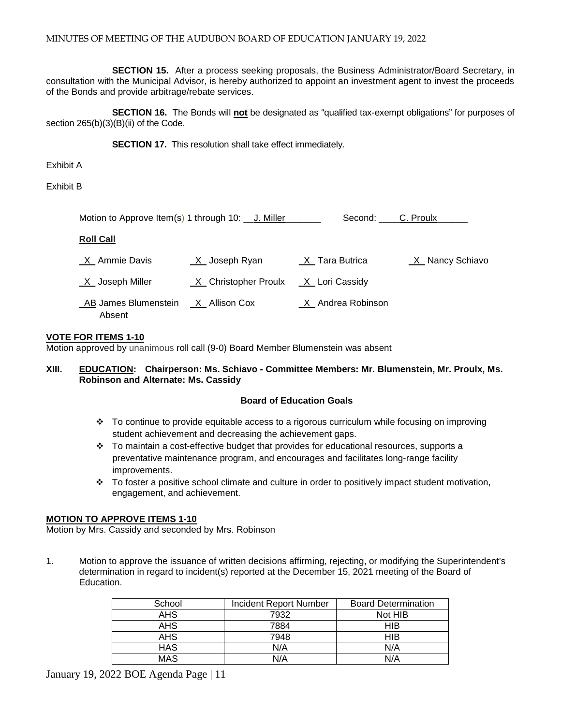**SECTION 15.** After a process seeking proposals, the Business Administrator/Board Secretary, in consultation with the Municipal Advisor, is hereby authorized to appoint an investment agent to invest the proceeds of the Bonds and provide arbitrage/rebate services.

**SECTION 16.** The Bonds will **not** be designated as "qualified tax-exempt obligations" for purposes of section  $265(b)(3)(B)(ii)$  of the Code.

**SECTION 17.** This resolution shall take effect immediately.

Exhibit A

Exhibit B

| Motion to Approve Item(s) 1 through 10: J. Miller |                      | Second: C. Proulx             |                   |
|---------------------------------------------------|----------------------|-------------------------------|-------------------|
| <b>Roll Call</b>                                  |                      |                               |                   |
| $X_$ Ammie Davis                                  | $X$ Joseph Ryan      | $X$ <sub>_</sub> Tara Butrica | _X_ Nancy Schiavo |
| $X$ Joseph Miller                                 | X Christopher Proulx | _X_ Lori Cassidy              |                   |
| _AB James Blumenstein<br>Absent                   | _X_ Allison Cox      | X Andrea Robinson             |                   |

## **VOTE FOR ITEMS 1-10**

Motion approved by unanimous roll call (9-0) Board Member Blumenstein was absent

## **XIII. EDUCATION: Chairperson: Ms. Schiavo - Committee Members: Mr. Blumenstein, Mr. Proulx, Ms. Robinson and Alternate: Ms. Cassidy**

#### **Board of Education Goals**

- To continue to provide equitable access to a rigorous curriculum while focusing on improving student achievement and decreasing the achievement gaps.
- $\div$  To maintain a cost-effective budget that provides for educational resources, supports a preventative maintenance program, and encourages and facilitates long-range facility improvements.
- \* To foster a positive school climate and culture in order to positively impact student motivation, engagement, and achievement.

#### **MOTION TO APPROVE ITEMS 1-10**

Motion by Mrs. Cassidy and seconded by Mrs. Robinson

1. Motion to approve the issuance of written decisions affirming, rejecting, or modifying the Superintendent's determination in regard to incident(s) reported at the December 15, 2021 meeting of the Board of Education.

| School     | Incident Report Number | <b>Board Determination</b> |
|------------|------------------------|----------------------------|
| <b>AHS</b> | 7932                   | Not HIB                    |
| <b>AHS</b> | 7884                   | HIB                        |
| <b>AHS</b> | 7948                   | <b>HIB</b>                 |
| <b>HAS</b> | N/A                    | N/A                        |
| <b>MAS</b> | N/A                    | N/A                        |

January 19, 2022 BOE Agenda Page | 11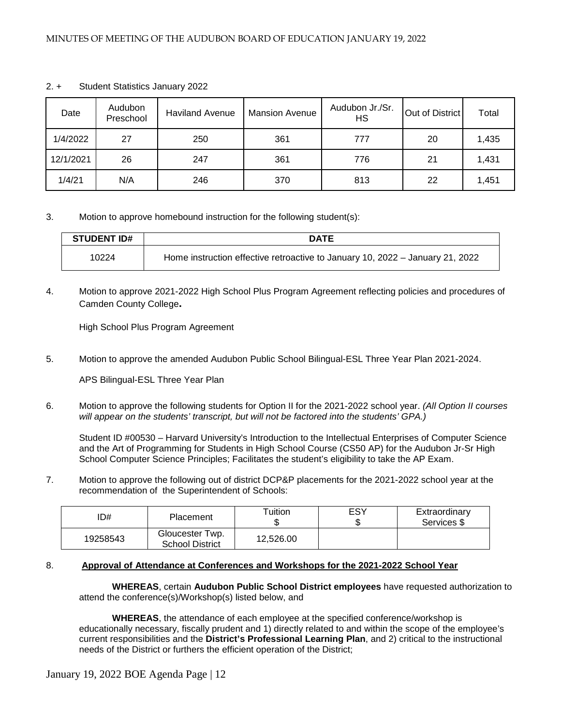| Date      | Audubon<br>Preschool | <b>Haviland Avenue</b> | <b>Mansion Avenue</b> | Audubon Jr./Sr.<br>НS | Out of District | Total |
|-----------|----------------------|------------------------|-----------------------|-----------------------|-----------------|-------|
| 1/4/2022  | 27                   | 250                    | 361                   | 777                   | 20              | 1,435 |
| 12/1/2021 | 26                   | 247                    | 361                   | 776                   | 21              | 1,431 |
| 1/4/21    | N/A                  | 246                    | 370                   | 813                   | 22              | 1,451 |

#### 2. + Student Statistics January 2022

3. Motion to approve homebound instruction for the following student(s):

| <b>STUDENT ID#</b> | <b>DATE</b>                                                                   |  |
|--------------------|-------------------------------------------------------------------------------|--|
| 10224              | Home instruction effective retroactive to January 10, 2022 – January 21, 2022 |  |

4. Motion to approve 2021-2022 High School Plus Program Agreement reflecting policies and procedures of Camden County College**.** 

High School Plus Program Agreement

5. Motion to approve the amended Audubon Public School Bilingual-ESL Three Year Plan 2021-2024.

APS Bilingual-ESL Three Year Plan

6. Motion to approve the following students for Option II for the 2021-2022 school year. *(All Option II courses will appear on the students' transcript, but will not be factored into the students' GPA.)*

Student ID #00530 – Harvard University's Introduction to the Intellectual Enterprises of Computer Science and the Art of Programming for Students in High School Course (CS50 AP) for the Audubon Jr-Sr High School Computer Science Principles; Facilitates the student's eligibility to take the AP Exam.

7. Motion to approve the following out of district DCP&P placements for the 2021-2022 school year at the recommendation of the Superintendent of Schools:

| ID#      | Placement                                 | Tuition   | ESY | Extraordinary<br>Services \$ |
|----------|-------------------------------------------|-----------|-----|------------------------------|
| 19258543 | Gloucester Twp.<br><b>School District</b> | 12.526.00 |     |                              |

#### 8. **Approval of Attendance at Conferences and Workshops for the 2021-2022 School Year**

 **WHEREAS**, certain **Audubon Public School District employees** have requested authorization to attend the conference(s)/Workshop(s) listed below, and

**WHEREAS**, the attendance of each employee at the specified conference/workshop is educationally necessary, fiscally prudent and 1) directly related to and within the scope of the employee's current responsibilities and the **District's Professional Learning Plan**, and 2) critical to the instructional needs of the District or furthers the efficient operation of the District;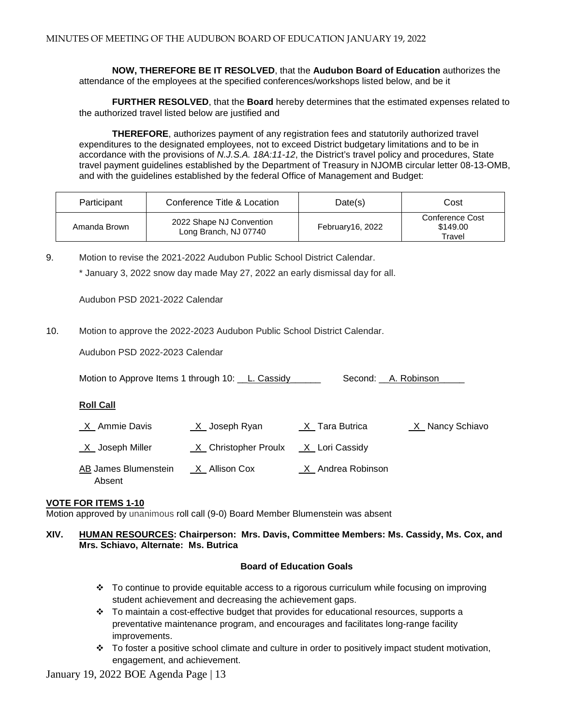**NOW, THEREFORE BE IT RESOLVED**, that the **Audubon Board of Education** authorizes the attendance of the employees at the specified conferences/workshops listed below, and be it

**FURTHER RESOLVED**, that the **Board** hereby determines that the estimated expenses related to the authorized travel listed below are justified and

**THEREFORE**, authorizes payment of any registration fees and statutorily authorized travel expenditures to the designated employees, not to exceed District budgetary limitations and to be in accordance with the provisions of *N.J.S.A. 18A:11-12*, the District's travel policy and procedures, State travel payment guidelines established by the Department of Treasury in NJOMB circular letter 08-13-OMB, and with the guidelines established by the federal Office of Management and Budget:

| Participant  | Conference Title & Location                       | Date(s)          | Cost                                  |  |
|--------------|---------------------------------------------------|------------------|---------------------------------------|--|
| Amanda Brown | 2022 Shape NJ Convention<br>Long Branch, NJ 07740 | February16, 2022 | Conference Cost<br>\$149.00<br>Travel |  |

9. Motion to revise the 2021-2022 Audubon Public School District Calendar.

\* January 3, 2022 snow day made May 27, 2022 an early dismissal day for all.

Audubon PSD 2021-2022 Calendar

10. Motion to approve the 2022-2023 Audubon Public School District Calendar.

Audubon PSD 2022-2023 Calendar

| Motion to Approve Items 1 through 10: L. Cassidy | Second: A. Robinson |
|--------------------------------------------------|---------------------|
|                                                  |                     |

#### **Roll Call**

| X Ammie Davis                  | <u>X</u> Joseph Ryan                    | _X_Tara Butrica     | X Nancy Schiavo |
|--------------------------------|-----------------------------------------|---------------------|-----------------|
| X Joseph Miller                | $X$ Christopher Proulx $X$ Lori Cassidy |                     |                 |
| AB James Blumenstein<br>Absent | $X$ Allison Cox                         | _X_ Andrea Robinson |                 |

#### **VOTE FOR ITEMS 1-10**

Motion approved by unanimous roll call (9-0) Board Member Blumenstein was absent

#### **XIV. HUMAN RESOURCES: Chairperson: Mrs. Davis, Committee Members: Ms. Cassidy, Ms. Cox, and Mrs. Schiavo, Alternate: Ms. Butrica**

#### **Board of Education Goals**

- $\cdot \cdot$  To continue to provide equitable access to a rigorous curriculum while focusing on improving student achievement and decreasing the achievement gaps.
- $\div$  To maintain a cost-effective budget that provides for educational resources, supports a preventative maintenance program, and encourages and facilitates long-range facility improvements.
- $\div$  To foster a positive school climate and culture in order to positively impact student motivation, engagement, and achievement.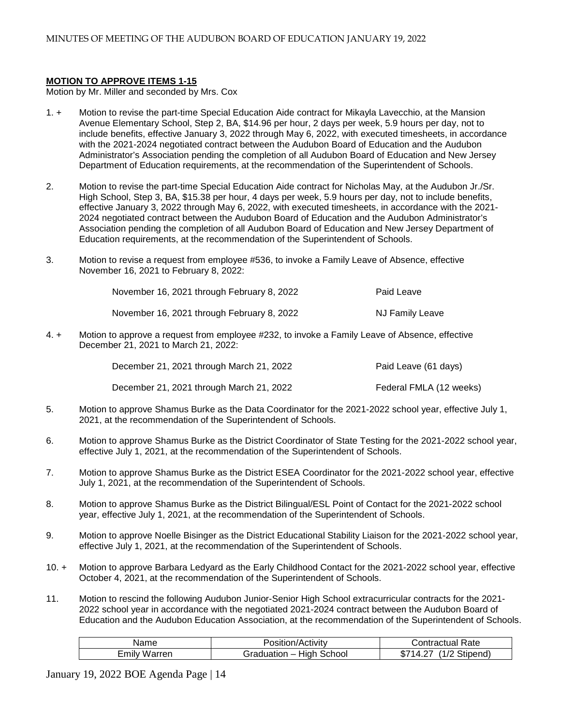#### **MOTION TO APPROVE ITEMS 1-15**

Motion by Mr. Miller and seconded by Mrs. Cox

- 1. + Motion to revise the part-time Special Education Aide contract for Mikayla Lavecchio, at the Mansion Avenue Elementary School, Step 2, BA, \$14.96 per hour, 2 days per week, 5.9 hours per day, not to include benefits, effective January 3, 2022 through May 6, 2022, with executed timesheets, in accordance with the 2021-2024 negotiated contract between the Audubon Board of Education and the Audubon Administrator's Association pending the completion of all Audubon Board of Education and New Jersey Department of Education requirements, at the recommendation of the Superintendent of Schools.
- 2. Motion to revise the part-time Special Education Aide contract for Nicholas May, at the Audubon Jr./Sr. High School, Step 3, BA, \$15.38 per hour, 4 days per week, 5.9 hours per day, not to include benefits, effective January 3, 2022 through May 6, 2022, with executed timesheets, in accordance with the 2021- 2024 negotiated contract between the Audubon Board of Education and the Audubon Administrator's Association pending the completion of all Audubon Board of Education and New Jersey Department of Education requirements, at the recommendation of the Superintendent of Schools.
- 3. Motion to revise a request from employee #536, to invoke a Family Leave of Absence, effective November 16, 2021 to February 8, 2022:

| November 16, 2021 through February 8, 2022 | Paid Leave             |
|--------------------------------------------|------------------------|
| November 16, 2021 through February 8, 2022 | <b>NJ Family Leave</b> |

4. + Motion to approve a request from employee #232, to invoke a Family Leave of Absence, effective December 21, 2021 to March 21, 2022:

| December 21, 2021 through March 21, 2022 | Paid Leave (61 days)    |
|------------------------------------------|-------------------------|
| December 21, 2021 through March 21, 2022 | Federal FMLA (12 weeks) |

- 5. Motion to approve Shamus Burke as the Data Coordinator for the 2021-2022 school year, effective July 1, 2021, at the recommendation of the Superintendent of Schools.
- 6. Motion to approve Shamus Burke as the District Coordinator of State Testing for the 2021-2022 school year, effective July 1, 2021, at the recommendation of the Superintendent of Schools.
- 7. Motion to approve Shamus Burke as the District ESEA Coordinator for the 2021-2022 school year, effective July 1, 2021, at the recommendation of the Superintendent of Schools.
- 8. Motion to approve Shamus Burke as the District Bilingual/ESL Point of Contact for the 2021-2022 school year, effective July 1, 2021, at the recommendation of the Superintendent of Schools.
- 9. Motion to approve Noelle Bisinger as the District Educational Stability Liaison for the 2021-2022 school year, effective July 1, 2021, at the recommendation of the Superintendent of Schools.
- 10. + Motion to approve Barbara Ledyard as the Early Childhood Contact for the 2021-2022 school year, effective October 4, 2021, at the recommendation of the Superintendent of Schools.
- 11. Motion to rescind the following Audubon Junior-Senior High School extracurricular contracts for the 2021- 2022 school year in accordance with the negotiated 2021-2024 contract between the Audubon Board of Education and the Audubon Education Association, at the recommendation of the Superintendent of Schools.

| Name                 | 'Actıvıtv<br>,sition/                               | Rate<br>∴`ontractual                           |
|----------------------|-----------------------------------------------------|------------------------------------------------|
| -<br>Emily<br>'arren | $\cdot$ .<br>.<br>`chool<br>זנזי<br>.<br><br>$\sim$ | $\sim$<br>$\overline{ }$<br>stipend<br>Œ.<br>. |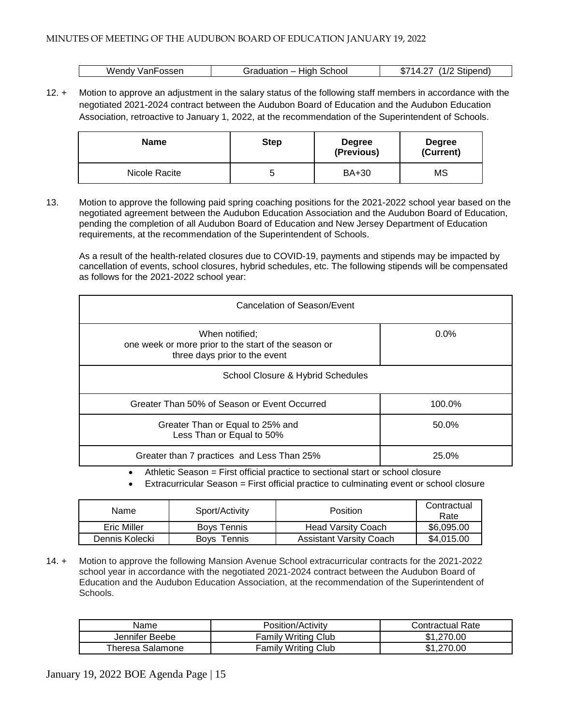| Fosser<br>Wendv<br>√an⊢ | .<br>School<br>.<br>iduation<br>шиг | $\sqrt{ }$<br>Stipend)<br><b>CON-</b><br>$\sqrt{ }$<br>۰D۰ |
|-------------------------|-------------------------------------|------------------------------------------------------------|

12. + Motion to approve an adjustment in the salary status of the following staff members in accordance with the negotiated 2021-2024 contract between the Audubon Board of Education and the Audubon Education Association, retroactive to January 1, 2022, at the recommendation of the Superintendent of Schools.

| <b>Name</b>   | <b>Step</b> | <b>Degree</b><br>(Previous) | <b>Degree</b><br>(Current) |  |
|---------------|-------------|-----------------------------|----------------------------|--|
| Nicole Racite |             | <b>BA+30</b>                | MS                         |  |

13. Motion to approve the following paid spring coaching positions for the 2021-2022 school year based on the negotiated agreement between the Audubon Education Association and the Audubon Board of Education, pending the completion of all Audubon Board of Education and New Jersey Department of Education requirements, at the recommendation of the Superintendent of Schools.

As a result of the health-related closures due to COVID-19, payments and stipends may be impacted by cancellation of events, school closures, hybrid schedules, etc. The following stipends will be compensated as follows for the 2021-2022 school year:

| Cancelation of Season/Event                                                                             |         |  |  |
|---------------------------------------------------------------------------------------------------------|---------|--|--|
| When notified;<br>one week or more prior to the start of the season or<br>three days prior to the event | $0.0\%$ |  |  |
| School Closure & Hybrid Schedules                                                                       |         |  |  |
| Greater Than 50% of Season or Event Occurred                                                            | 100.0%  |  |  |
| Greater Than or Equal to 25% and<br>Less Than or Equal to 50%                                           | 50.0%   |  |  |
| Greater than 7 practices and Less Than 25%                                                              | 25.0%   |  |  |
| Athletic Censor - First official proctice to contigral start or separal elegung                         |         |  |  |

- Athletic Season = First official practice to sectional start or school closure
- Extracurricular Season = First official practice to culminating event or school closure

| Name           | Sport/Activity     | Position                       | Contractual<br>Rate |
|----------------|--------------------|--------------------------------|---------------------|
| Eric Miller    | <b>Bovs Tennis</b> | <b>Head Varsity Coach</b>      | \$6,095.00          |
| Dennis Kolecki | Bovs<br>Tennis     | <b>Assistant Varsity Coach</b> | \$4,015,00          |

14. + Motion to approve the following Mansion Avenue School extracurricular contracts for the 2021-2022 school year in accordance with the negotiated 2021-2024 contract between the Audubon Board of Education and the Audubon Education Association, at the recommendation of the Superintendent of Schools.

| Name             | Position/Activity          | Contractual Rate |  |
|------------------|----------------------------|------------------|--|
| Jennifer Beebe   | <b>Family Writing Club</b> | \$1,270.00       |  |
| Theresa Salamone | <b>Family Writing Club</b> | ,270.00          |  |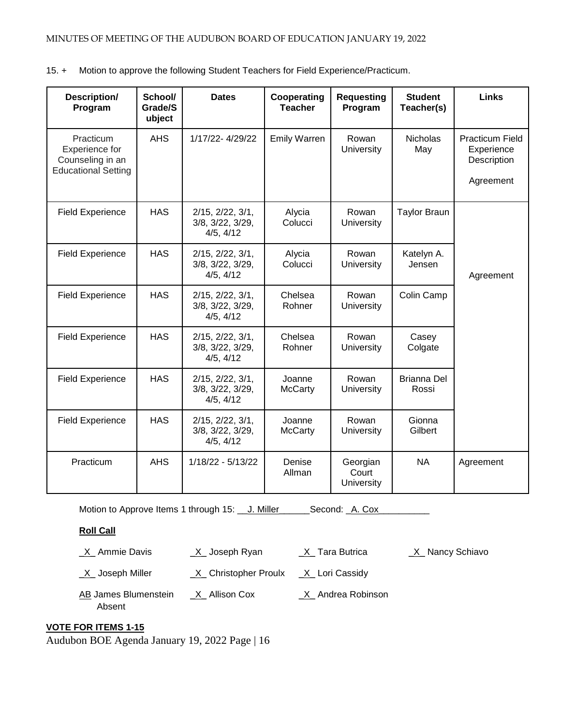15. + Motion to approve the following Student Teachers for Field Experience/Practicum.

| Description/<br>Program                                                       | School/<br>Grade/S<br>ubject | <b>Dates</b>                                               | Cooperating<br><b>Teacher</b> | <b>Requesting</b><br>Program    | <b>Student</b><br>Teacher(s) | <b>Links</b>                                                     |
|-------------------------------------------------------------------------------|------------------------------|------------------------------------------------------------|-------------------------------|---------------------------------|------------------------------|------------------------------------------------------------------|
| Practicum<br>Experience for<br>Counseling in an<br><b>Educational Setting</b> | <b>AHS</b>                   | 1/17/22-4/29/22                                            | <b>Emily Warren</b>           | Rowan<br>University             | <b>Nicholas</b><br>May       | <b>Practicum Field</b><br>Experience<br>Description<br>Agreement |
| <b>Field Experience</b>                                                       | <b>HAS</b>                   | 2/15, 2/22, 3/1,<br>3/8, 3/22, 3/29,<br>4/5, 4/12          | Alycia<br>Colucci             | Rowan<br>University             | <b>Taylor Braun</b>          |                                                                  |
| <b>Field Experience</b>                                                       | <b>HAS</b>                   | $2/15$ , $2/22$ , $3/1$ ,<br>3/8, 3/22, 3/29,<br>4/5, 4/12 | Alycia<br>Colucci             | Rowan<br>University             | Katelyn A.<br>Jensen         | Agreement                                                        |
| <b>Field Experience</b>                                                       | <b>HAS</b>                   | $2/15$ , $2/22$ , $3/1$ ,<br>3/8, 3/22, 3/29,<br>4/5, 4/12 | Chelsea<br>Rohner             | Rowan<br>University             | Colin Camp                   |                                                                  |
| <b>Field Experience</b>                                                       | <b>HAS</b>                   | 2/15, 2/22, 3/1,<br>3/8, 3/22, 3/29,<br>4/5, 4/12          | Chelsea<br>Rohner             | Rowan<br>University             | Casey<br>Colgate             |                                                                  |
| <b>Field Experience</b>                                                       | <b>HAS</b>                   | $2/15$ , $2/22$ , $3/1$ ,<br>3/8, 3/22, 3/29,<br>4/5, 4/12 | Joanne<br><b>McCarty</b>      | Rowan<br>University             | <b>Brianna Del</b><br>Rossi  |                                                                  |
| <b>Field Experience</b>                                                       | <b>HAS</b>                   | $2/15$ , $2/22$ , $3/1$ ,<br>3/8, 3/22, 3/29,<br>4/5, 4/12 | Joanne<br><b>McCarty</b>      | Rowan<br>University             | Gionna<br>Gilbert            |                                                                  |
| Practicum                                                                     | <b>AHS</b>                   | 1/18/22 - 5/13/22                                          | Denise<br>Allman              | Georgian<br>Court<br>University | <b>NA</b>                    | Agreement                                                        |

Motion to Approve Items 1 through 15: \_\_ J. Miller\_\_\_\_\_\_Second: \_A. Cox\_\_\_\_\_

# **Roll Call**

 $X$  Ammie Davis  $X$  Joseph Ryan  $X$  Tara Butrica  $X$  Nancy Schiavo

 $X$  Joseph Miller  $X$  Christopher Proulx  $X$  Lori Cassidy

AB James Blumenstein \_\_ X\_ Allison Cox \_\_\_\_\_\_ X\_ Andrea Robinson Absent

# **VOTE FOR ITEMS 1-15**

Audubon BOE Agenda January 19, 2022 Page | 16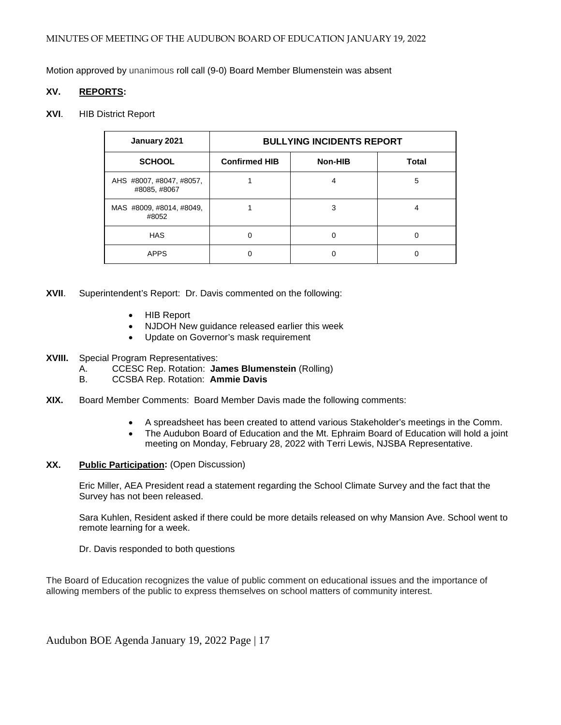Motion approved by unanimous roll call (9-0) Board Member Blumenstein was absent

#### **XV. REPORTS:**

#### **XVI**. HIB District Report

| January 2021                             | <b>BULLYING INCIDENTS REPORT</b> |         |              |
|------------------------------------------|----------------------------------|---------|--------------|
| <b>SCHOOL</b>                            | <b>Confirmed HIB</b>             | Non-HIB | <b>Total</b> |
| AHS #8007, #8047, #8057,<br>#8085, #8067 |                                  |         | 5            |
| MAS #8009, #8014, #8049,<br>#8052        |                                  | 3       | 4            |
| <b>HAS</b>                               | ი                                |         | 0            |
| <b>APPS</b>                              |                                  |         |              |

- **XVII**. Superintendent's Report: Dr. Davis commented on the following:
	- HIB Report
	- NJDOH New guidance released earlier this week
	- Update on Governor's mask requirement
- **XVIII.** Special Program Representatives:
	- A. CCESC Rep. Rotation: **James Blumenstein** (Rolling)
	- B. CCSBA Rep. Rotation: **Ammie Davis**
- **XIX.** Board Member Comments: Board Member Davis made the following comments:
	- A spreadsheet has been created to attend various Stakeholder's meetings in the Comm.
	- The Audubon Board of Education and the Mt. Ephraim Board of Education will hold a joint meeting on Monday, February 28, 2022 with Terri Lewis, NJSBA Representative.

#### **XX. Public Participation:** (Open Discussion)

Eric Miller, AEA President read a statement regarding the School Climate Survey and the fact that the Survey has not been released.

Sara Kuhlen, Resident asked if there could be more details released on why Mansion Ave. School went to remote learning for a week.

Dr. Davis responded to both questions

The Board of Education recognizes the value of public comment on educational issues and the importance of allowing members of the public to express themselves on school matters of community interest.

Audubon BOE Agenda January 19, 2022 Page | 17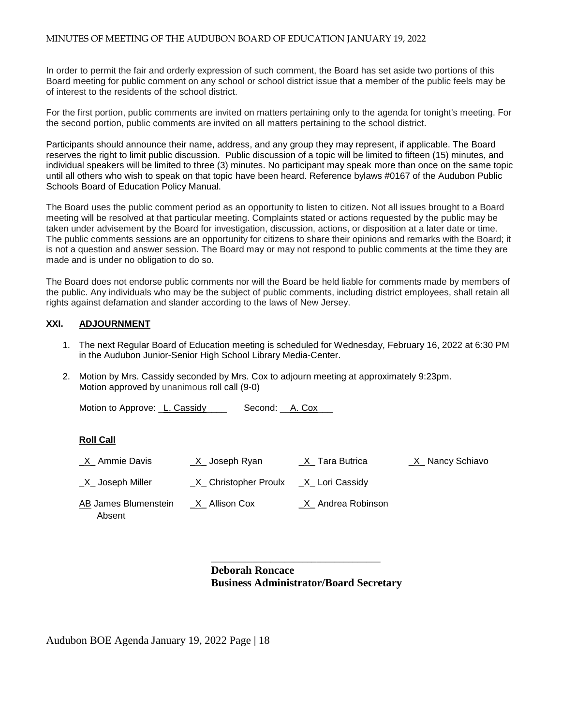In order to permit the fair and orderly expression of such comment, the Board has set aside two portions of this Board meeting for public comment on any school or school district issue that a member of the public feels may be of interest to the residents of the school district.

For the first portion, public comments are invited on matters pertaining only to the agenda for tonight's meeting. For the second portion, public comments are invited on all matters pertaining to the school district.

Participants should announce their name, address, and any group they may represent, if applicable. The Board reserves the right to limit public discussion. Public discussion of a topic will be limited to fifteen (15) minutes, and individual speakers will be limited to three (3) minutes. No participant may speak more than once on the same topic until all others who wish to speak on that topic have been heard. Reference bylaws #0167 of the Audubon Public Schools Board of Education Policy Manual.

The Board uses the public comment period as an opportunity to listen to citizen. Not all issues brought to a Board meeting will be resolved at that particular meeting. Complaints stated or actions requested by the public may be taken under advisement by the Board for investigation, discussion, actions, or disposition at a later date or time. The public comments sessions are an opportunity for citizens to share their opinions and remarks with the Board; it is not a question and answer session. The Board may or may not respond to public comments at the time they are made and is under no obligation to do so.

The Board does not endorse public comments nor will the Board be held liable for comments made by members of the public. Any individuals who may be the subject of public comments, including district employees, shall retain all rights against defamation and slander according to the laws of New Jersey.

#### **XXI. ADJOURNMENT**

- 1. The next Regular Board of Education meeting is scheduled for Wednesday, February 16, 2022 at 6:30 PM in the Audubon Junior-Senior High School Library Media-Center.
- 2. Motion by Mrs. Cassidy seconded by Mrs. Cox to adjourn meeting at approximately 9:23pm. Motion approved by unanimous roll call (9-0)

Motion to Approve: L. Cassidy\_\_\_\_ Second: \_\_A. Cox\_

#### **Roll Call**

| X Ammie Davis                  | $X$ Joseph Ryan        | X Tara Butrica      | X Nancy Schiavo |
|--------------------------------|------------------------|---------------------|-----------------|
| <u>_X</u> _ Joseph Miller      | _X_ Christopher Proulx | _X_ Lori Cassidy    |                 |
| AB James Blumenstein<br>Absent | _X_ Allison Cox        | _X_ Andrea Robinson |                 |

**Deborah Roncace Business Administrator/Board Secretary** 

\_\_\_\_\_\_\_\_\_\_\_\_\_\_\_\_\_\_\_\_\_\_\_\_\_\_\_\_\_\_\_\_\_\_\_\_\_

Audubon BOE Agenda January 19, 2022 Page | 18